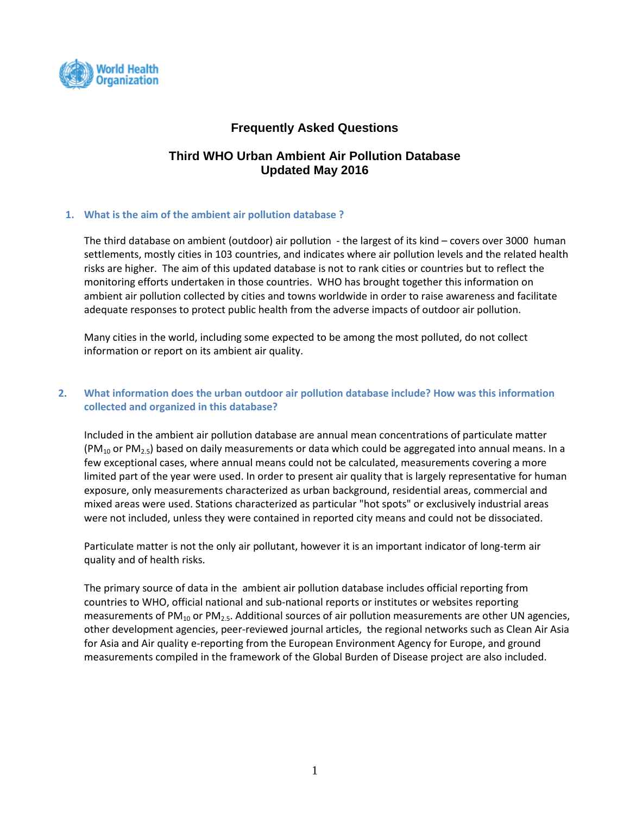

# **Frequently Asked Questions**

# **Third WHO Urban Ambient Air Pollution Database Updated May 2016**

## **1. What is the aim of the ambient air pollution database ?**

The third database on ambient (outdoor) air pollution - the largest of its kind – covers over 3000 human settlements, mostly cities in 103 countries, and indicates where air pollution levels and the related health risks are higher. The aim of this updated database is not to rank cities or countries but to reflect the monitoring efforts undertaken in those countries. WHO has brought together this information on ambient air pollution collected by cities and towns worldwide in order to raise awareness and facilitate adequate responses to protect public health from the adverse impacts of outdoor air pollution.

Many cities in the world, including some expected to be among the most polluted, do not collect information or report on its ambient air quality.

## **2. What information does the urban outdoor air pollution database include? How was this information collected and organized in this database?**

Included in the ambient air pollution database are annual mean concentrations of particulate matter  $(PM<sub>10</sub>$  or PM<sub>2.5</sub>) based on daily measurements or data which could be aggregated into annual means. In a few exceptional cases, where annual means could not be calculated, measurements covering a more limited part of the year were used. In order to present air quality that is largely representative for human exposure, only measurements characterized as urban background, residential areas, commercial and mixed areas were used. Stations characterized as particular "hot spots" or exclusively industrial areas were not included, unless they were contained in reported city means and could not be dissociated.

Particulate matter is not the only air pollutant, however it is an important indicator of long-term air quality and of health risks.

The primary source of data in the ambient air pollution database includes official reporting from countries to WHO, official national and sub-national reports or institutes or websites reporting measurements of PM<sub>10</sub> or PM<sub>2.5</sub>. Additional sources of air pollution measurements are other UN agencies, other development agencies, peer-reviewed journal articles, the regional networks such as Clean Air Asia for Asia and Air quality e-reporting from the European Environment Agency for Europe, and ground measurements compiled in the framework of the Global Burden of Disease project are also included.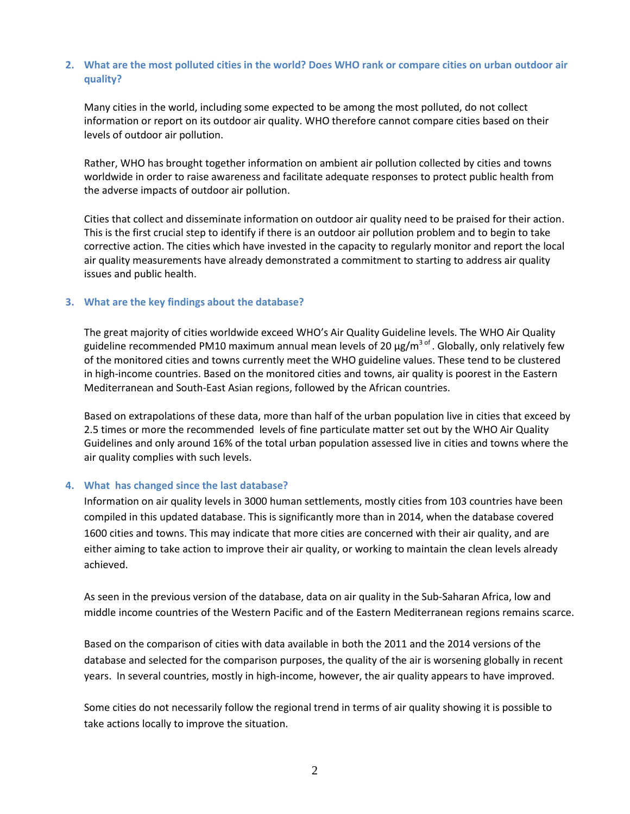## **2. What are the most polluted cities in the world? Does WHO rank or compare cities on urban outdoor air quality?**

Many cities in the world, including some expected to be among the most polluted, do not collect information or report on its outdoor air quality. WHO therefore cannot compare cities based on their levels of outdoor air pollution.

Rather, WHO has brought together information on ambient air pollution collected by cities and towns worldwide in order to raise awareness and facilitate adequate responses to protect public health from the adverse impacts of outdoor air pollution.

Cities that collect and disseminate information on outdoor air quality need to be praised for their action. This is the first crucial step to identify if there is an outdoor air pollution problem and to begin to take corrective action. The cities which have invested in the capacity to regularly monitor and report the local air quality measurements have already demonstrated a commitment to starting to address air quality issues and public health.

### **3. What are the key findings about the database?**

The great majority of cities worldwide exceed WHO's Air Quality Guideline levels. The WHO Air Quality guideline recommended PM10 maximum annual mean levels of 20  $\mu$ g/m<sup>3 of</sup>. Globally, only relatively few of the monitored cities and towns currently meet the WHO guideline values. These tend to be clustered in high-income countries. Based on the monitored cities and towns, air quality is poorest in the Eastern Mediterranean and South-East Asian regions, followed by the African countries.

Based on extrapolations of these data, more than half of the urban population live in cities that exceed by 2.5 times or more the recommended levels of fine particulate matter set out by the WHO Air Quality Guidelines and only around 16% of the total urban population assessed live in cities and towns where the air quality complies with such levels.

### **4. What has changed since the last database?**

Information on air quality levels in 3000 human settlements, mostly cities from 103 countries have been compiled in this updated database. This is significantly more than in 2014, when the database covered 1600 cities and towns. This may indicate that more cities are concerned with their air quality, and are either aiming to take action to improve their air quality, or working to maintain the clean levels already achieved.

As seen in the previous version of the database, data on air quality in the Sub-Saharan Africa, low and middle income countries of the Western Pacific and of the Eastern Mediterranean regions remains scarce.

Based on the comparison of cities with data available in both the 2011 and the 2014 versions of the database and selected for the comparison purposes, the quality of the air is worsening globally in recent years. In several countries, mostly in high-income, however, the air quality appears to have improved.

Some cities do not necessarily follow the regional trend in terms of air quality showing it is possible to take actions locally to improve the situation.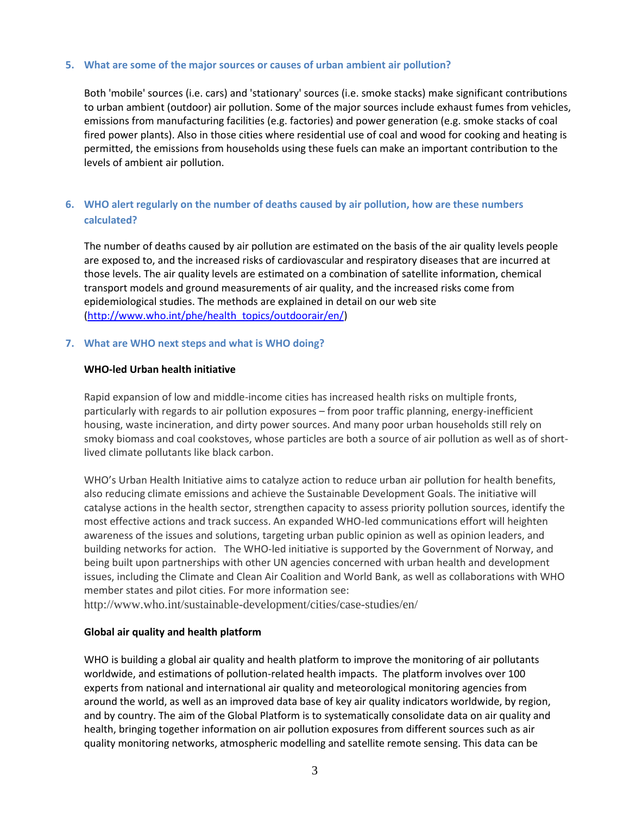#### **5. What are some of the major sources or causes of urban ambient air pollution?**

Both 'mobile' sources (i.e. cars) and 'stationary' sources (i.e. smoke stacks) make significant contributions to urban ambient (outdoor) air pollution. Some of the major sources include exhaust fumes from vehicles, emissions from manufacturing facilities (e.g. factories) and power generation (e.g. smoke stacks of coal fired power plants). Also in those cities where residential use of coal and wood for cooking and heating is permitted, the emissions from households using these fuels can make an important contribution to the levels of ambient air pollution.

# **6. WHO alert regularly on the number of deaths caused by air pollution, how are these numbers calculated?**

The number of deaths caused by air pollution are estimated on the basis of the air quality levels people are exposed to, and the increased risks of cardiovascular and respiratory diseases that are incurred at those levels. The air quality levels are estimated on a combination of satellite information, chemical transport models and ground measurements of air quality, and the increased risks come from epidemiological studies. The methods are explained in detail on our web site [\(http://www.who.int/phe/health\\_topics/outdoorair/en/\)](http://www.who.int/phe/health_topics/outdoorair/en/)

#### **7. What are WHO next steps and what is WHO doing?**

#### **WHO-led Urban health initiative**

Rapid expansion of low and middle-income cities has increased health risks on multiple fronts, particularly with regards to air pollution exposures – from poor traffic planning, energy-inefficient housing, waste incineration, and dirty power sources. And many poor urban households still rely on smoky biomass and coal cookstoves, whose particles are both a source of air pollution as well as of shortlived climate pollutants like black carbon.

WHO's Urban Health Initiative aims to catalyze action to reduce urban air pollution for health benefits, also reducing climate emissions and achieve the Sustainable Development Goals. The initiative will catalyse actions in the health sector, strengthen capacity to assess priority pollution sources, identify the most effective actions and track success. An expanded WHO-led communications effort will heighten awareness of the issues and solutions, targeting urban public opinion as well as opinion leaders, and building networks for action. The WHO-led initiative is supported by the Government of Norway, and being built upon partnerships with other UN agencies concerned with urban health and development issues, including the Climate and Clean Air Coalition and World Bank, as well as collaborations with WHO member states and pilot cities. For more information see:

<http://www.who.int/sustainable-development/cities/case-studies/en/>

### **Global air quality and health platform**

WHO is building a global air quality and health platform to improve the monitoring of air pollutants worldwide, and estimations of pollution-related health impacts. The platform involves over 100 experts from national and international air quality and meteorological monitoring agencies from around the world, as well as an improved data base of key air quality indicators worldwide, by region, and by country. The aim of the Global Platform is to systematically consolidate data on air quality and health, bringing together information on air pollution exposures from different sources such as air quality monitoring networks, atmospheric modelling and satellite remote sensing. This data can be